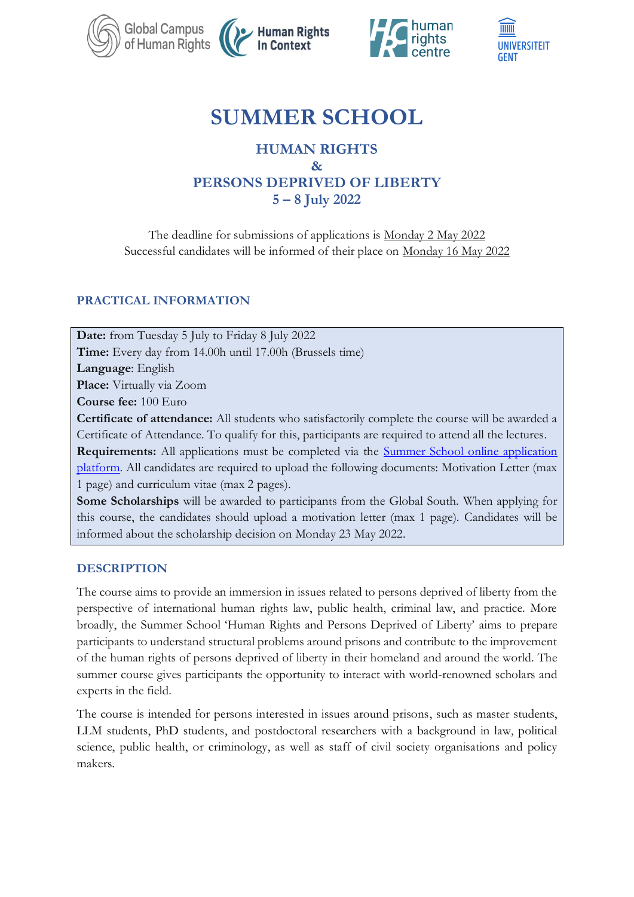





# **SUMMER SCHOOL**

# **HUMAN RIGHTS & PERSONS DEPRIVED OF LIBERTY 5 – 8 July 2022**

The deadline for submissions of applications is Monday 2 May 2022 Successful candidates will be informed of their place on Monday 16 May 2022

# **PRACTICAL INFORMATION**

**Date:** from Tuesday 5 July to Friday 8 July 2022 **Time:** Every day from 14.00h until 17.00h (Brussels time) **Language**: English **Place:** Virtually via Zoom **Course fee:** 100 Euro **Certificate of attendance:** All students who satisfactorily complete the course will be awarded a Certificate of Attendance. To qualify for this, participants are required to attend all the lectures. **Requirements:** All applications must be completed via the **Summer School online application** [platform.](https://cuppini.auleformazione.online/summer-school/) All candidates are required to upload the following documents: Motivation Letter (max 1 page) and curriculum vitae (max 2 pages).

**Some Scholarships** will be awarded to participants from the Global South. When applying for this course, the candidates should upload a motivation letter (max 1 page). Candidates will be informed about the scholarship decision on Monday 23 May 2022.

# **DESCRIPTION**

The course aims to provide an immersion in issues related to persons deprived of liberty from the perspective of international human rights law, public health, criminal law, and practice. More broadly, the Summer School 'Human Rights and Persons Deprived of Liberty' aims to prepare participants to understand structural problems around prisons and contribute to the improvement of the human rights of persons deprived of liberty in their homeland and around the world. The summer course gives participants the opportunity to interact with world-renowned scholars and experts in the field.

The course is intended for persons interested in issues around prisons, such as master students, LLM students, PhD students, and postdoctoral researchers with a background in law, political science, public health, or criminology, as well as staff of civil society organisations and policy makers.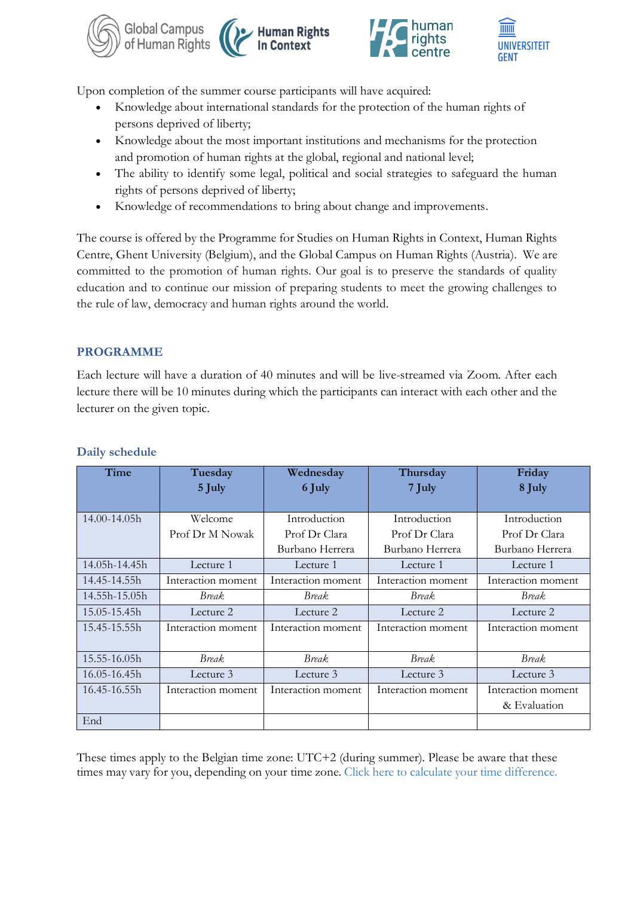





Upon completion of the summer course participants will have acquired:

- Knowledge about international standards for the protection of the human rights of persons deprived of liberty;
- Knowledge about the most important institutions and mechanisms for the protection and promotion of human rights at the global, regional and national level;
- The ability to identify some legal, political and social strategies to safeguard the human rights of persons deprived of liberty;
- Knowledge of recommendations to bring about change and improvements.

The course is offered by the Programme for Studies on Human Rights in Context, Human Rights Centre, Ghent University (Belgium), and the Global Campus on Human Rights (Austria). We are committed to the promotion of human rights. Our goal is to preserve the standards of quality education and to continue our mission of preparing students to meet the growing challenges to the rule of law, democracy and human rights around the world.

# **PROGRAMME**

Each lecture will have a duration of 40 minutes and will be live-streamed via Zoom. After each lecture there will be 10 minutes during which the participants can interact with each other and the lecturer on the given topic.

| Time             | Tuesday            | Wednesday          | Thursday           | Friday             |
|------------------|--------------------|--------------------|--------------------|--------------------|
|                  | 5 July             | 6 July             | 7 July             | 8 July             |
|                  |                    |                    |                    |                    |
| $14.00 - 14.05h$ | Welcome            | Introduction       | Introduction       | Introduction       |
|                  | Prof Dr M Nowak    | Prof Dr Clara      | Prof Dr Clara      | Prof Dr Clara      |
|                  |                    | Burbano Herrera    | Burbano Herrera    | Burbano Herrera    |
| 14.05h-14.45h    | Lecture 1          | Lecture 1          | Lecture 1          | Lecture 1          |
| 14.45-14.55h     | Interaction moment | Interaction moment | Interaction moment | Interaction moment |
| 14.55h-15.05h    | Break.             | <b>Break</b>       | <b>Break</b>       | <b>Break</b>       |
| 15.05-15.45h     | Lecture 2          | Lecture 2          | Lecture 2          | Lecture 2          |
| 15.45-15.55h     | Interaction moment | Interaction moment | Interaction moment | Interaction moment |
|                  |                    |                    |                    |                    |
| 15.55-16.05h     | <b>Break</b>       | <b>Break</b>       | <b>Break</b>       | Break.             |
| 16.05-16.45h     | Lecture 3          | Lecture 3          | Lecture 3          | Lecture 3          |
| 16.45-16.55h     | Interaction moment | Interaction moment | Interaction moment | Interaction moment |
|                  |                    |                    |                    | & Evaluation       |
| End              |                    |                    |                    |                    |

### **Daily schedule**

These times apply to the Belgian time zone: UTC+2 (during summer). Please be aware that these times may vary for you, depending on your time zone. [Click here to calculate your time difference.](https://www.zeitverschiebung.net/en/)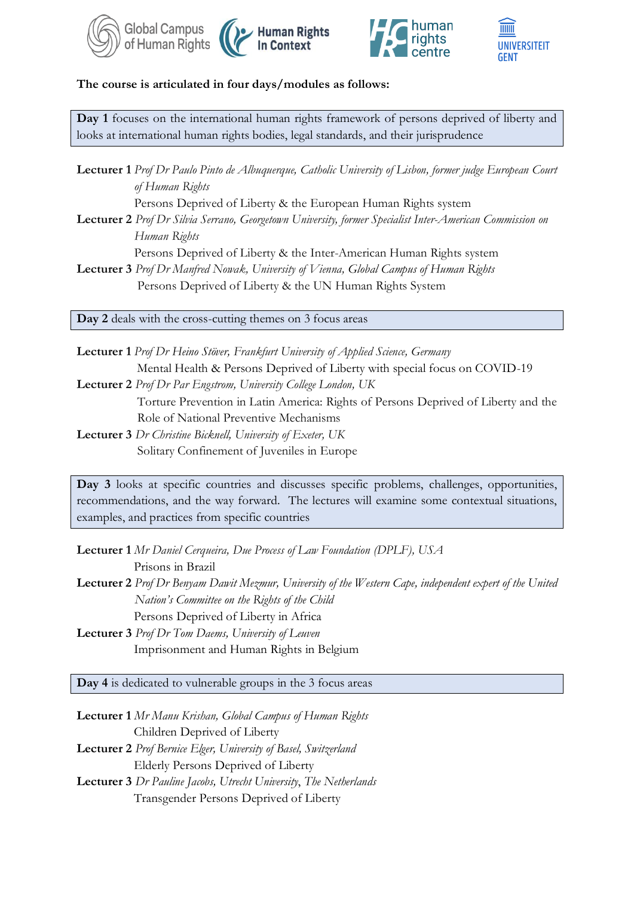





#### **The course is articulated in four days/modules as follows:**

**Day 1** focuses on the international human rights framework of persons deprived of liberty and looks at international human rights bodies, legal standards, and their jurisprudence

**Lecturer 1** *Prof Dr Paulo Pinto de Albuquerque, Catholic University of Lisbon, former judge European Court of Human Rights*

Persons Deprived of Liberty & the European Human Rights system

**Lecturer 2** *Prof Dr Silvia Serrano, Georgetown University, former Specialist Inter-American Commission on Human Rights* 

Persons Deprived of Liberty & the Inter-American Human Rights system

**Lecturer 3** *Prof Dr Manfred Nowak, University of Vienna, Global Campus of Human Rights* Persons Deprived of Liberty & the UN Human Rights System

**Day 2** deals with the cross-cutting themes on 3 focus areas

**Lecturer 1** *Prof Dr Heino Stöver, Frankfurt University of Applied Science, Germany* Mental Health & Persons Deprived of Liberty with special focus on COVID-19 **Lecturer 2** *Prof Dr Par Engstrom, University College London, UK* Torture Prevention in Latin America: Rights of Persons Deprived of Liberty and the Role of National Preventive Mechanisms

**Lecturer 3** *Dr Christine Bicknell, University of Exeter, UK* Solitary Confinement of Juveniles in Europe

Day 3 looks at specific countries and discusses specific problems, challenges, opportunities, recommendations, and the way forward. The lectures will examine some contextual situations, examples, and practices from specific countries

**Lecturer 1** *Mr Daniel Cerqueira, Due Process of Law Foundation (DPLF), USA* Prisons in Brazil **Lecturer 2** *Prof Dr Benyam Dawit Mezmur, University of the Western Cape, independent expert of the United Nation's Committee on the Rights of the Child*

Persons Deprived of Liberty in Africa

**Lecturer 3** *Prof Dr Tom Daems, University of Leuven* Imprisonment and Human Rights in Belgium

**Day 4** is dedicated to vulnerable groups in the 3 focus areas

**Lecturer 1** *Mr Manu Krishan, Global Campus of Human Rights* Children Deprived of Liberty **Lecturer 2** *Prof Bernice Elger, University of Basel, Switzerland* Elderly Persons Deprived of Liberty **Lecturer 3** *Dr Pauline Jacobs, Utrecht University*, *The Netherlands* Transgender Persons Deprived of Liberty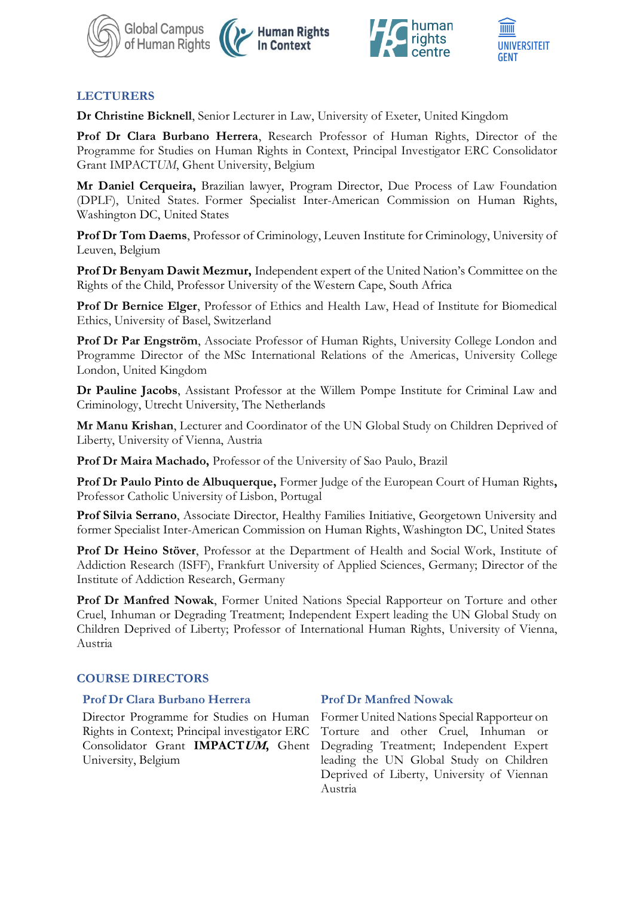





# **LECTURERS**

**Dr Christine Bicknell**, Senior Lecturer in Law, University of Exeter, United Kingdom

**Prof Dr Clara Burbano Herrera**, Research Professor of Human Rights, Director of the Programme for Studies on Human Rights in Context, Principal Investigator ERC Consolidator Grant IMPACT*UM*, Ghent University, Belgium

**Mr Daniel Cerqueira,** Brazilian lawyer, Program Director, Due Process of Law Foundation (DPLF), United States. Former Specialist Inter-American Commission on Human Rights, Washington DC, United States

**Prof Dr Tom Daems**, Professor of Criminology, Leuven Institute for Criminology, University of Leuven, Belgium

**Prof Dr Benyam Dawit Mezmur,** Independent expert of the United Nation's Committee on the Rights of the Child, Professor University of the Western Cape, South Africa

**Prof Dr Bernice Elger**, Professor of Ethics and Health Law, Head of Institute for Biomedical Ethics, University of Basel, Switzerland

**Prof Dr Par Engström**, Associate Professor of Human Rights, University College London and Programme Director of the [MSc International Relations of the Americas,](http://www.ucl.ac.uk/americas/study/graduate-taught/international-relations-americas-msc) University College London, United Kingdom

**Dr Pauline Jacobs**, Assistant Professor at the Willem Pompe Institute for Criminal Law and Criminology, Utrecht University, The Netherlands

**Mr Manu Krishan**, Lecturer and Coordinator of the UN Global Study on Children Deprived of Liberty, University of Vienna, Austria

**Prof Dr Maira Machado,** Professor of the University of Sao Paulo, Brazil

**Prof Dr Paulo Pinto de Albuquerque,** Former Judge of the European Court of Human Rights**,**  Professor Catholic University of Lisbon, Portugal

**Prof Silvia Serrano**, Associate Director, Healthy Families Initiative, Georgetown University and former Specialist Inter-American Commission on Human Rights, Washington DC, United States

**Prof Dr Heino Stöver**, Professor at the Department of Health and Social Work, Institute of Addiction Research (ISFF), Frankfurt University of Applied Sciences, Germany; Director of the Institute of Addiction Research, Germany

**Prof Dr Manfred Nowak**, Former United Nations Special Rapporteur on Torture and other Cruel, Inhuman or Degrading Treatment; Independent Expert leading the UN Global Study on Children Deprived of Liberty; Professor of International Human Rights, University of Vienna, Austria

### **COURSE DIRECTORS**

#### **Prof Dr Clara Burbano Herrera Prof Dr Manfred Nowak**

Director Programme for Studies on Human Rights in Context; Principal investigator ERC Consolidator Grant **IMPACTUM,** Ghent University, Belgium

Former United Nations Special Rapporteur on Torture and other Cruel, Inhuman or Degrading Treatment; Independent Expert leading the UN Global Study on Children Deprived of Liberty, University of Viennan Austria